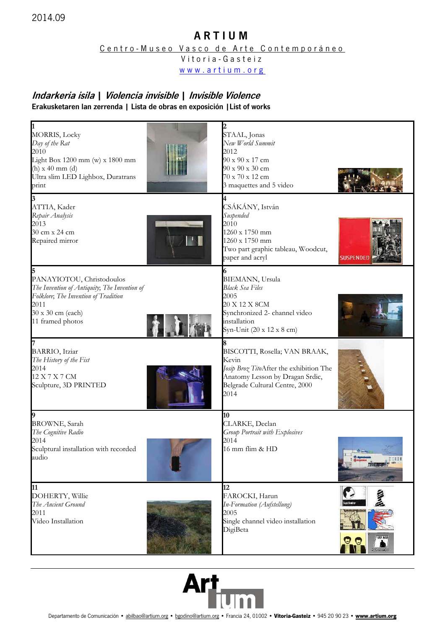## A R T I U M

Centro-Museo Vasco de Arte Contemporáneo

Vitoria - Gasteiz

www.artium.org

## Indarkeria isila | Violencia invisible | Invisible Violence Erakusketaren lan zerrenda | Lista de obras en exposición |List of works

| <b>MORRIS, Locky</b><br>Day of the Rat<br>2010<br>Light Box 1200 mm (w) x 1800 mm<br>$(h)$ x 40 mm $(d)$<br>Ultra slim LED Lighbox, Duratrans<br>print             | 2<br>STAAL, Jonas<br>New World Summit<br>2012<br>90 x 90 x 17 cm<br>$90 \times 90 \times 30$ cm<br>70 x 70 x 12 cm<br>3 maquettes and 5 video                  |
|--------------------------------------------------------------------------------------------------------------------------------------------------------------------|----------------------------------------------------------------------------------------------------------------------------------------------------------------|
| ATTIA, Kader<br>Repair Analysis<br>2013<br>30 cm x 24 cm<br>Repaired mirror                                                                                        | CSÁKÁNY, István<br>Suspended<br>2010<br>1260 x 1750 mm<br>1260 x 1750 mm<br>Two part graphic tableau, Woodcut,<br>paper and acryl<br><b>SUSPENDE</b>           |
| PANAYIOTOU, Christodoulos<br>The Invention of Antiquity; The Invention of<br>Folklore; The Invention of Tradition<br>2011<br>30 x 30 cm (each)<br>11 framed photos | <b>BIEMANN</b> , Ursula<br><b>Black Sea Files</b><br>2005<br>20 X 12 X 8CM<br>Synchronized 2- channel video<br>installation<br>Syn-Unit (20 x 12 x 8 cm)       |
| BARRIO, Itziar<br>The History of the Fist<br>2014<br>12 X 7 X 7 CM<br>Sculpture, 3D PRINTED                                                                        | BISCOTTI, Rosella; VAN BRAAK,<br>Kevin<br>Josip Broz TitoAfter the exhibition The<br>Anatomy Lesson by Dragan Srdic,<br>Belgrade Cultural Centre, 2000<br>2014 |
| <b>BROWNE</b> , Sarah<br>The Cognitive Radio<br>2014<br>Sculptural installation with recorded<br>augio                                                             | 10<br>CLARKE, Declan<br>Group Portrait with Explosives<br>2014<br>16 mm flim & HD                                                                              |
| 11<br>DOHERTY, Willie<br>The Ancient Ground<br>2011<br>Video Installation                                                                                          | 12<br>FAROCKI, Harun<br>ustando<br>In-Formation (Aufstellung)<br>2005<br>Single channel video installation<br>DigiBeta<br>100 600<br><b>Sylvenore</b>          |